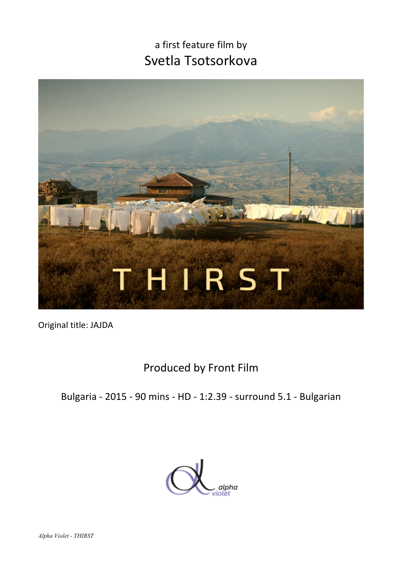# a first feature film by Svetla Tsotsorkova



Original title: JAJDA

## Produced by Front Film

Bulgaria - 2015 - 90 mins - HD - 1:2.39 - surround 5.1 - Bulgarian

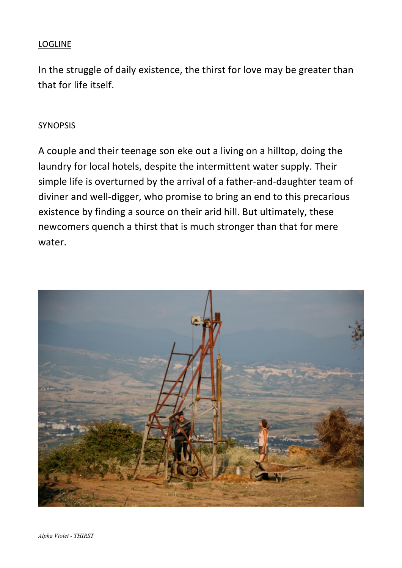#### LOGLINE

In the struggle of daily existence, the thirst for love may be greater than that for life itself.

#### SYNOPSIS

A couple and their teenage son eke out a living on a hilltop, doing the laundry for local hotels, despite the intermittent water supply. Their simple life is overturned by the arrival of a father-and-daughter team of diviner and well-digger, who promise to bring an end to this precarious existence by finding a source on their arid hill. But ultimately, these newcomers quench a thirst that is much stronger than that for mere water.

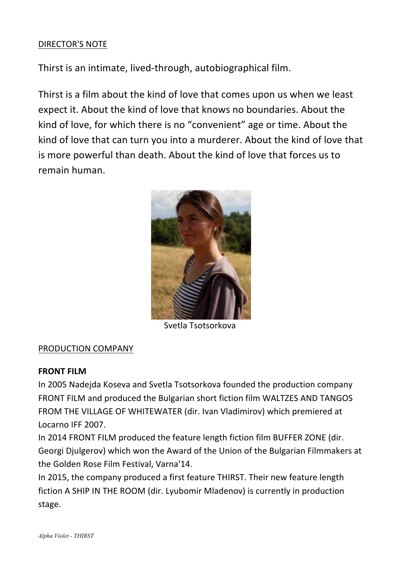#### DIRECTOR'S NOTE

Thirst is an intimate, lived-through, autobiographical film.

Thirst is a film about the kind of love that comes upon us when we least expect it. About the kind of love that knows no boundaries. About the kind of love, for which there is no "convenient" age or time. About the kind of love that can turn you into a murderer. About the kind of love that is more powerful than death. About the kind of love that forces us to remain human.



 Svetla Tsotsorkova

#### PRODUCTION COMPANY

#### **FRONT FILM**

In 2005 Nadejda Koseva and Svetla Tsotsorkova founded the production company FRONT FILM and produced the Bulgarian short fiction film WALTZES AND TANGOS FROM THE VILLAGE OF WHITEWATER (dir. Ivan Vladimirov) which premiered at Locarno IFF 2007.

In 2014 FRONT FILM produced the feature length fiction film BUFFER ZONE (dir. Georgi Djulgerov) which won the Award of the Union of the Bulgarian Filmmakers at the Golden Rose Film Festival, Varna'14.

In 2015, the company produced a first feature THIRST. Their new feature length fiction A SHIP IN THE ROOM (dir. Lyubomir Mladenov) is currently in production stage.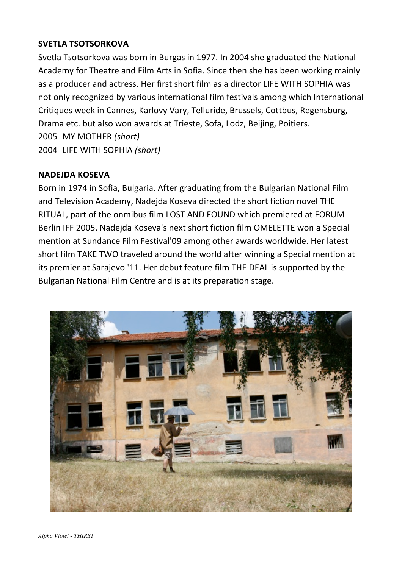#### **SVETLA TSOTSORKOVA**

Svetla Tsotsorkova was born in Burgas in 1977. In 2004 she graduated the National Academy for Theatre and Film Arts in Sofia. Since then she has been working mainly as a producer and actress. Her first short film as a director LIFE WITH SOPHIA was not only recognized by various international film festivals among which International Critiques week in Cannes, Karlovy Vary, Telluride, Brussels, Cottbus, Regensburg, Drama etc. but also won awards at Trieste, Sofa, Lodz, Beijing, Poitiers. 2005 MY MOTHER *(short)* 2004 LIFE WITH SOPHIA *(short)*

#### **NADEJDA KOSEVA**

Born in 1974 in Sofia, Bulgaria. After graduating from the Bulgarian National Film and Television Academy, Nadejda Koseva directed the short fiction novel THE RITUAL, part of the onmibus film LOST AND FOUND which premiered at FORUM Berlin IFF 2005. Nadejda Koseva's next short fiction film OMELETTE won a Special mention at Sundance Film Festival'09 among other awards worldwide. Her latest short film TAKE TWO traveled around the world after winning a Special mention at its premier at Sarajevo '11. Her debut feature film THE DEAL is supported by the Bulgarian National Film Centre and is at its preparation stage.

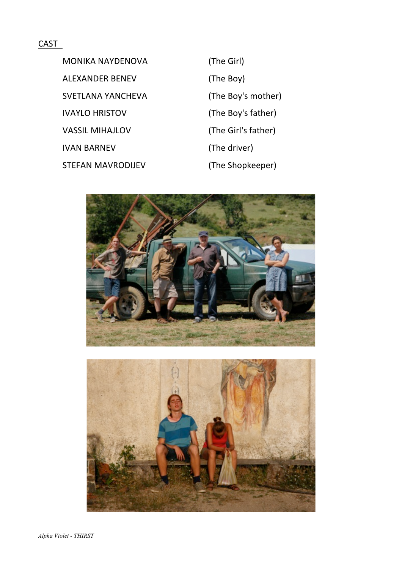#### CAST

MONIKA NAYDENOVA (The Girl) ALEXANDER BENEV (The Boy) SVETLANA YANCHEVA (The Boy's mother) IVAYLO HRISTOV (The Boy's father) VASSIL MIHAJLOV (The Girl's father) IVAN BARNEV (The driver) STEFAN MAVRODIJEV (The Shopkeeper)

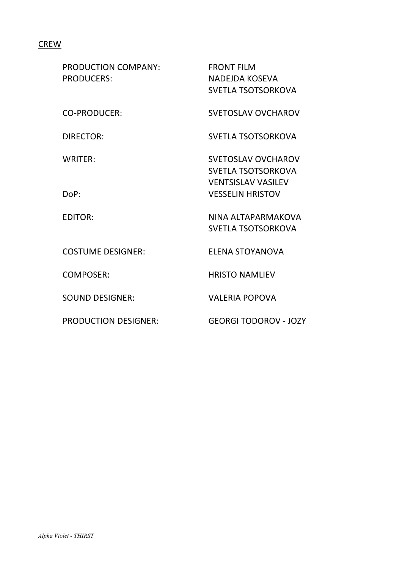### **CREW**

| <b>PRODUCTION COMPANY:</b><br><b>PRODUCERS:</b> | <b>FRONT FILM</b><br><b>NADEJDA KOSEVA</b><br><b>SVETLA TSOTSORKOVA</b>             |
|-------------------------------------------------|-------------------------------------------------------------------------------------|
| <b>CO-PRODUCER:</b>                             | <b>SVETOSLAV OVCHAROV</b>                                                           |
| DIRECTOR:                                       | <b>SVETLA TSOTSORKOVA</b>                                                           |
| WRITER:                                         | <b>SVETOSLAV OVCHAROV</b><br><b>SVETLA TSOTSORKOVA</b><br><b>VENTSISLAV VASILEV</b> |
| DoP:                                            | <b>VESSELIN HRISTOV</b>                                                             |
| <b>EDITOR:</b>                                  | NINA ALTAPARMAKOVA<br><b>SVETLA TSOTSORKOVA</b>                                     |
| <b>COSTUME DESIGNER:</b>                        | ELENA STOYANOVA                                                                     |
| COMPOSER:                                       | <b>HRISTO NAMLIEV</b>                                                               |
| <b>SOUND DESIGNER:</b>                          | <b>VALERIA POPOVA</b>                                                               |
| <b>PRODUCTION DESIGNER:</b>                     | <b>GEORGI TODOROV - JOZY</b>                                                        |